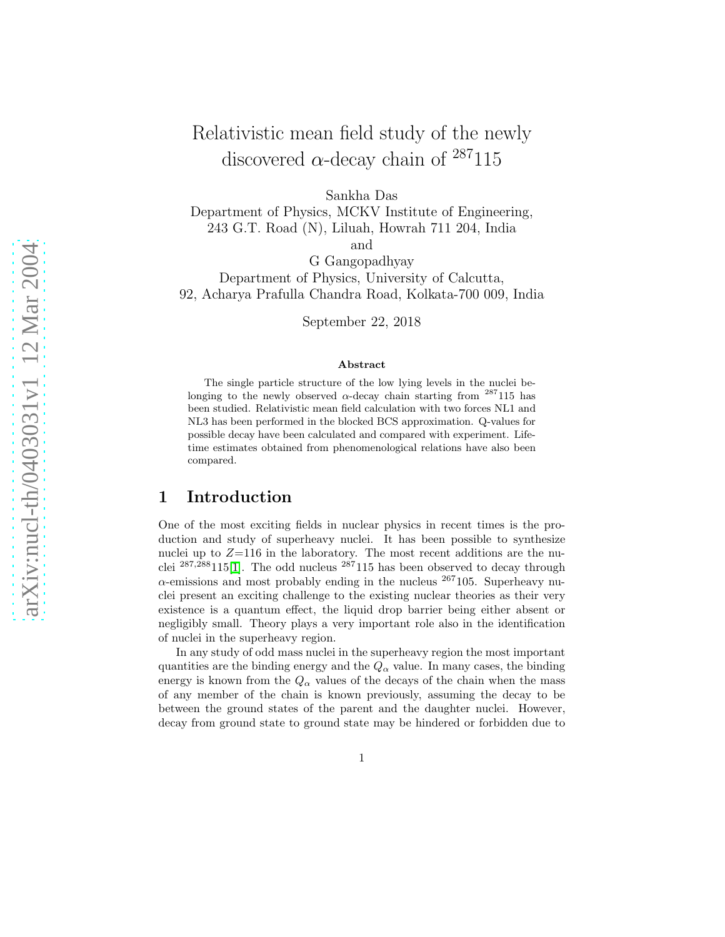# Relativistic mean field study of the newly discovered  $\alpha$ -decay chain of  $^{287}115$

Sankha Das

Department of Physics, MCKV Institute of Engineering, 243 G.T. Road (N), Liluah, Howrah 711 204, India and

G Gangopadhyay Department of Physics, University of Calcutta, 92, Acharya Prafulla Chandra Road, Kolkata-700 009, India

September 22, 2018

#### Abstract

The single particle structure of the low lying levels in the nuclei belonging to the newly observed  $\alpha$ -decay chain starting from <sup>287</sup>115 has been studied. Relativistic mean field calculation with two forces NL1 and NL3 has been performed in the blocked BCS approximation. Q-values for possible decay have been calculated and compared with experiment. Lifetime estimates obtained from phenomenological relations have also been compared.

### 1 Introduction

One of the most exciting fields in nuclear physics in recent times is the production and study of superheavy nuclei. It has been possible to synthesize nuclei up to  $Z=116$  in the laboratory. The most recent additions are the nuclei  $^{287,288}115[1]$  $^{287,288}115[1]$ . The odd nucleus  $^{287}115$  has been observed to decay through  $\alpha$ -emissions and most probably ending in the nucleus  $^{267}105$ . Superheavy nuclei present an exciting challenge to the existing nuclear theories as their very existence is a quantum effect, the liquid drop barrier being either absent or negligibly small. Theory plays a very important role also in the identification of nuclei in the superheavy region.

In any study of odd mass nuclei in the superheavy region the most important quantities are the binding energy and the  $Q_{\alpha}$  value. In many cases, the binding energy is known from the  $Q_{\alpha}$  values of the decays of the chain when the mass of any member of the chain is known previously, assuming the decay to be between the ground states of the parent and the daughter nuclei. However, decay from ground state to ground state may be hindered or forbidden due to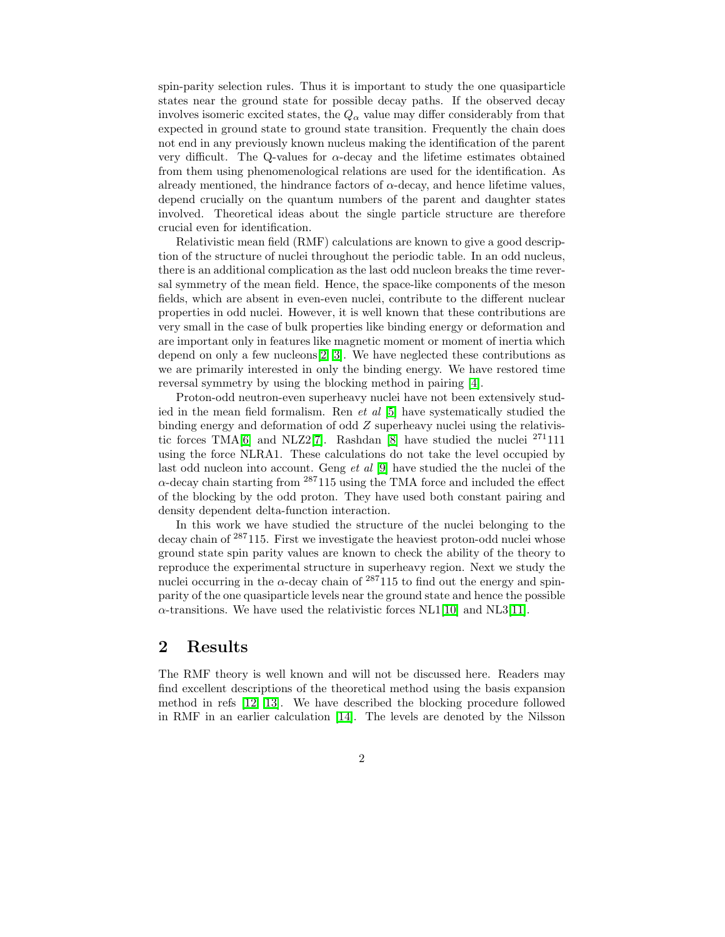spin-parity selection rules. Thus it is important to study the one quasiparticle states near the ground state for possible decay paths. If the observed decay involves isomeric excited states, the  $Q_{\alpha}$  value may differ considerably from that expected in ground state to ground state transition. Frequently the chain does not end in any previously known nucleus making the identification of the parent very difficult. The Q-values for  $\alpha$ -decay and the lifetime estimates obtained from them using phenomenological relations are used for the identification. As already mentioned, the hindrance factors of  $\alpha$ -decay, and hence lifetime values, depend crucially on the quantum numbers of the parent and daughter states involved. Theoretical ideas about the single particle structure are therefore crucial even for identification.

Relativistic mean field (RMF) calculations are known to give a good description of the structure of nuclei throughout the periodic table. In an odd nucleus, there is an additional complication as the last odd nucleon breaks the time reversal symmetry of the mean field. Hence, the space-like components of the meson fields, which are absent in even-even nuclei, contribute to the different nuclear properties in odd nuclei. However, it is well known that these contributions are very small in the case of bulk properties like binding energy or deformation and are important only in features like magnetic moment or moment of inertia which depend on only a few nucleons[\[2,](#page-4-1) [3\]](#page-4-2). We have neglected these contributions as we are primarily interested in only the binding energy. We have restored time reversal symmetry by using the blocking method in pairing [\[4\]](#page-4-3).

Proton-odd neutron-even superheavy nuclei have not been extensively studied in the mean field formalism. Ren *et al* [\[5\]](#page-4-4) have systematically studied the binding energy and deformation of odd Z superheavy nuclei using the relativistic forces TMA $[6]$  and NLZ2 $[7]$ . Rashdan  $[8]$  have studied the nuclei  $^{271}111$ using the force NLRA1. These calculations do not take the level occupied by last odd nucleon into account. Geng *et al* [\[9\]](#page-4-8) have studied the the nuclei of the  $\alpha$ -decay chain starting from  $^{287}115$  using the TMA force and included the effect of the blocking by the odd proton. They have used both constant pairing and density dependent delta-function interaction.

In this work we have studied the structure of the nuclei belonging to the decay chain of <sup>287</sup>115. First we investigate the heaviest proton-odd nuclei whose ground state spin parity values are known to check the ability of the theory to reproduce the experimental structure in superheavy region. Next we study the nuclei occurring in the  $\alpha$ -decay chain of  $^{287}115$  to find out the energy and spinparity of the one quasiparticle levels near the ground state and hence the possible  $\alpha$ -transitions. We have used the relativistic forces NL1[\[10\]](#page-4-9) and NL3[\[11\]](#page-4-10).

#### 2 Results

The RMF theory is well known and will not be discussed here. Readers may find excellent descriptions of the theoretical method using the basis expansion method in refs [\[12,](#page-4-11) [13\]](#page-4-12). We have described the blocking procedure followed in RMF in an earlier calculation [\[14\]](#page-4-13). The levels are denoted by the Nilsson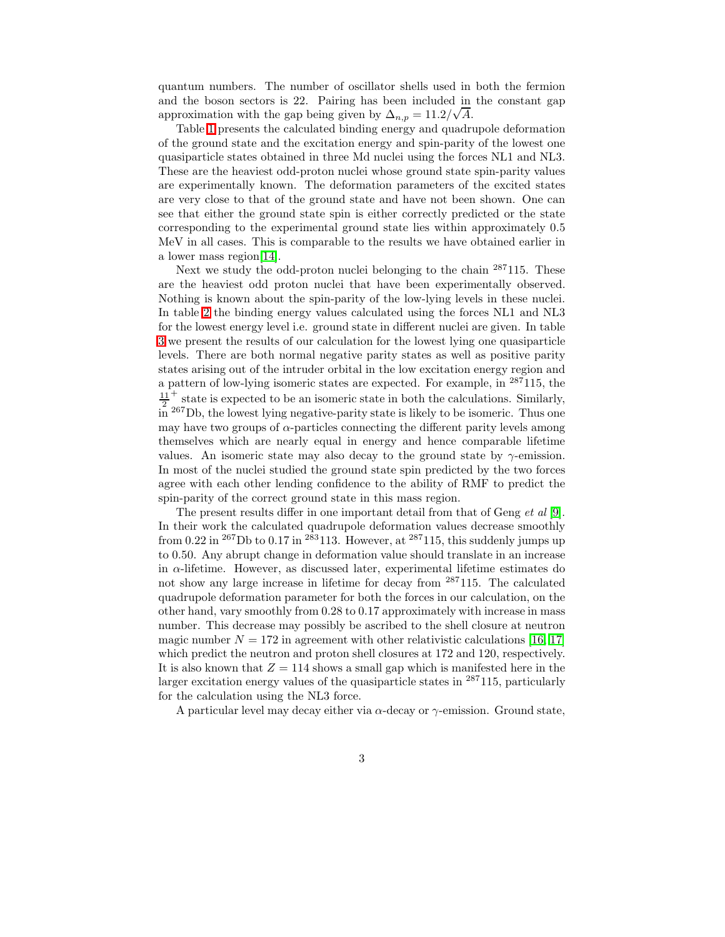quantum numbers. The number of oscillator shells used in both the fermion and the boson sectors is 22. Pairing has been included in the constant gap approximation with the gap being given by  $\Delta_{n,p} = 11.2/\sqrt{A}$ .

Table [1](#page-5-0) presents the calculated binding energy and quadrupole deformation of the ground state and the excitation energy and spin-parity of the lowest one quasiparticle states obtained in three Md nuclei using the forces NL1 and NL3. These are the heaviest odd-proton nuclei whose ground state spin-parity values are experimentally known. The deformation parameters of the excited states are very close to that of the ground state and have not been shown. One can see that either the ground state spin is either correctly predicted or the state corresponding to the experimental ground state lies within approximately 0.5 MeV in all cases. This is comparable to the results we have obtained earlier in a lower mass region[\[14\]](#page-4-13).

Next we study the odd-proton nuclei belonging to the chain <sup>287</sup>115. These are the heaviest odd proton nuclei that have been experimentally observed. Nothing is known about the spin-parity of the low-lying levels in these nuclei. In table [2](#page-5-1) the binding energy values calculated using the forces NL1 and NL3 for the lowest energy level i.e. ground state in different nuclei are given. In table [3](#page-6-0) we present the results of our calculation for the lowest lying one quasiparticle levels. There are both normal negative parity states as well as positive parity states arising out of the intruder orbital in the low excitation energy region and a pattern of low-lying isomeric states are expected. For example, in  $287115$ , the 11 2 <sup>+</sup> state is expected to be an isomeric state in both the calculations. Similarly,  $\sin^{267}$ Db, the lowest lying negative-parity state is likely to be isomeric. Thus one may have two groups of  $\alpha$ -particles connecting the different parity levels among themselves which are nearly equal in energy and hence comparable lifetime values. An isomeric state may also decay to the ground state by  $\gamma$ -emission. In most of the nuclei studied the ground state spin predicted by the two forces agree with each other lending confidence to the ability of RMF to predict the spin-parity of the correct ground state in this mass region.

The present results differ in one important detail from that of Geng *et al* [\[9\]](#page-4-8). In their work the calculated quadrupole deformation values decrease smoothly from 0.22 in <sup>267</sup>Db to 0.17 in <sup>283</sup>113. However, at <sup>287</sup>115, this suddenly jumps up to 0.50. Any abrupt change in deformation value should translate in an increase in  $\alpha$ -lifetime. However, as discussed later, experimental lifetime estimates do not show any large increase in lifetime for decay from <sup>287</sup>115. The calculated quadrupole deformation parameter for both the forces in our calculation, on the other hand, vary smoothly from 0.28 to 0.17 approximately with increase in mass number. This decrease may possibly be ascribed to the shell closure at neutron magic number  $N = 172$  in agreement with other relativistic calculations [\[16,](#page-4-14) [17\]](#page-4-15) which predict the neutron and proton shell closures at 172 and 120, respectively. It is also known that  $Z = 114$  shows a small gap which is manifested here in the larger excitation energy values of the quasiparticle states in  $^{287}115$ , particularly for the calculation using the NL3 force.

A particular level may decay either via  $\alpha$ -decay or  $\gamma$ -emission. Ground state,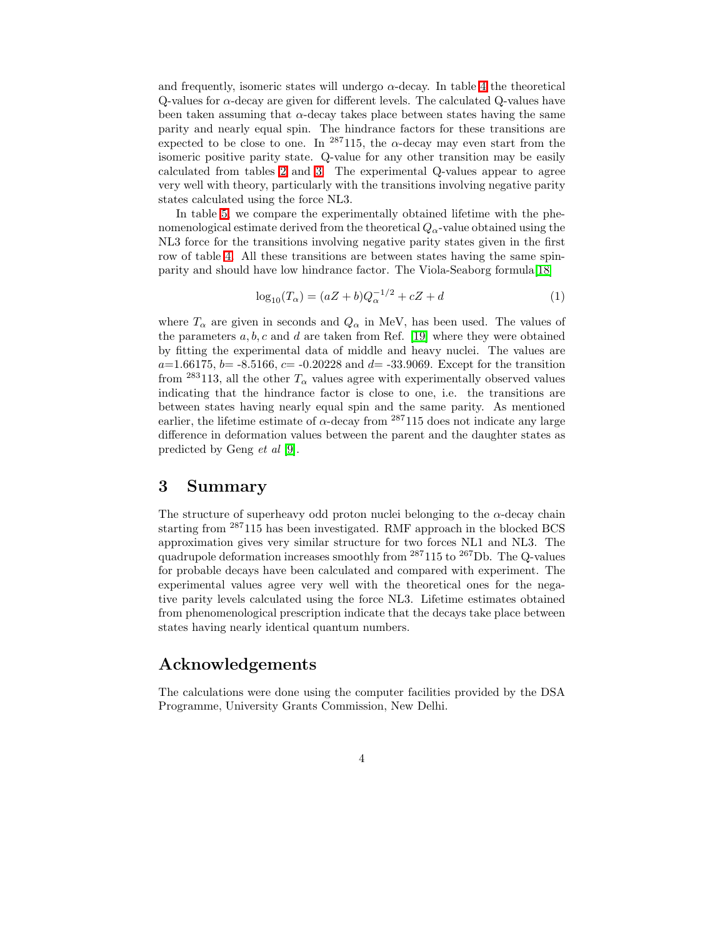and frequently, isomeric states will undergo  $\alpha$ -decay. In table [4](#page-7-0) the theoretical  $Q$ -values for  $\alpha$ -decay are given for different levels. The calculated  $Q$ -values have been taken assuming that  $\alpha$ -decay takes place between states having the same parity and nearly equal spin. The hindrance factors for these transitions are expected to be close to one. In <sup>287</sup>115, the  $\alpha$ -decay may even start from the isomeric positive parity state. Q-value for any other transition may be easily calculated from tables [2](#page-5-1) and [3.](#page-6-0) The experimental Q-values appear to agree very well with theory, particularly with the transitions involving negative parity states calculated using the force NL3.

In table [5,](#page-7-1) we compare the experimentally obtained lifetime with the phenomenological estimate derived from the theoretical  $Q_{\alpha}$ -value obtained using the NL3 force for the transitions involving negative parity states given in the first row of table [4.](#page-7-0) All these transitions are between states having the same spinparity and should have low hindrance factor. The Viola-Seaborg formula[\[18\]](#page-4-16)

$$
\log_{10}(T_{\alpha}) = (aZ + b)Q_{\alpha}^{-1/2} + cZ + d \tag{1}
$$

where  $T_{\alpha}$  are given in seconds and  $Q_{\alpha}$  in MeV, has been used. The values of the parameters  $a, b, c$  and  $d$  are taken from Ref. [\[19\]](#page-4-17) where they were obtained by fitting the experimental data of middle and heavy nuclei. The values are  $a=1.66175$ ,  $b=-8.5166$ ,  $c=-0.20228$  and  $d=-33.9069$ . Except for the transition from <sup>283</sup>113, all the other  $T_{\alpha}$  values agree with experimentally observed values indicating that the hindrance factor is close to one, i.e. the transitions are between states having nearly equal spin and the same parity. As mentioned earlier, the lifetime estimate of  $\alpha$ -decay from <sup>287</sup>115 does not indicate any large difference in deformation values between the parent and the daughter states as predicted by Geng *et al* [\[9\]](#page-4-8).

#### 3 Summary

The structure of superheavy odd proton nuclei belonging to the  $\alpha$ -decay chain starting from <sup>287</sup>115 has been investigated. RMF approach in the blocked BCS approximation gives very similar structure for two forces NL1 and NL3. The quadrupole deformation increases smoothly from  $^{287}115$  to  $^{267}{\rm Db}.$  The Q-values for probable decays have been calculated and compared with experiment. The experimental values agree very well with the theoretical ones for the negative parity levels calculated using the force NL3. Lifetime estimates obtained from phenomenological prescription indicate that the decays take place between states having nearly identical quantum numbers.

#### Acknowledgements

The calculations were done using the computer facilities provided by the DSA Programme, University Grants Commission, New Delhi.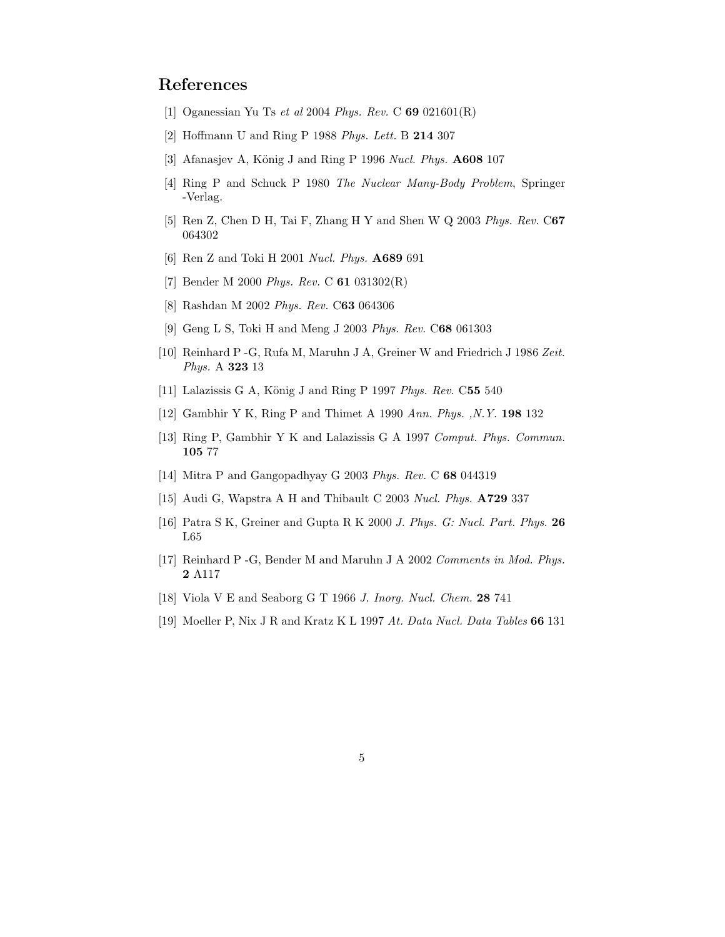## <span id="page-4-1"></span><span id="page-4-0"></span>References

- [1] Oganessian Yu Ts *et al* 2004 *Phys. Rev.* C 69 021601(R)
- <span id="page-4-2"></span>[2] Hoffmann U and Ring P 1988 *Phys. Lett.* B 214 307
- <span id="page-4-3"></span>[3] Afanasjev A, König J and Ring P 1996 *Nucl. Phys.* **A608** 107
- [4] Ring P and Schuck P 1980 *The Nuclear Many-Body Problem*, Springer -Verlag.
- <span id="page-4-5"></span><span id="page-4-4"></span>[5] Ren Z, Chen D H, Tai F, Zhang H Y and Shen W Q 2003 *Phys. Rev.* C67 064302
- <span id="page-4-6"></span>[6] Ren Z and Toki H 2001 *Nucl. Phys.* A689 691
- <span id="page-4-7"></span>[7] Bender M 2000 *Phys. Rev.* C 61 031302(R)
- <span id="page-4-8"></span>[8] Rashdan M 2002 *Phys. Rev.* C63 064306
- [9] Geng L S, Toki H and Meng J 2003 *Phys. Rev.* C68 061303
- <span id="page-4-9"></span>[10] Reinhard P -G, Rufa M, Maruhn J A, Greiner W and Friedrich J 1986 *Zeit. Phys.* A 323 13
- <span id="page-4-11"></span><span id="page-4-10"></span>[11] Lalazissis G A, König J and Ring P 1997 *Phys. Rev.* C55 540
- <span id="page-4-12"></span>[12] Gambhir Y K, Ring P and Thimet A 1990 *Ann. Phys. ,N.Y.* 198 132
- [13] Ring P, Gambhir Y K and Lalazissis G A 1997 *Comput. Phys. Commun.* 105 77
- <span id="page-4-18"></span><span id="page-4-13"></span>[14] Mitra P and Gangopadhyay G 2003 *Phys. Rev.* C 68 044319
- <span id="page-4-14"></span>[15] Audi G, Wapstra A H and Thibault C 2003 *Nucl. Phys.* A729 337
- <span id="page-4-15"></span>[16] Patra S K, Greiner and Gupta R K 2000 *J. Phys. G: Nucl. Part. Phys.* 26 L65
- <span id="page-4-16"></span>[17] Reinhard P -G, Bender M and Maruhn J A 2002 *Comments in Mod. Phys.* 2 A117
- <span id="page-4-17"></span>[18] Viola V E and Seaborg G T 1966 *J. Inorg. Nucl. Chem.* 28 741
- [19] Moeller P, Nix J R and Kratz K L 1997 *At. Data Nucl. Data Tables* 66 131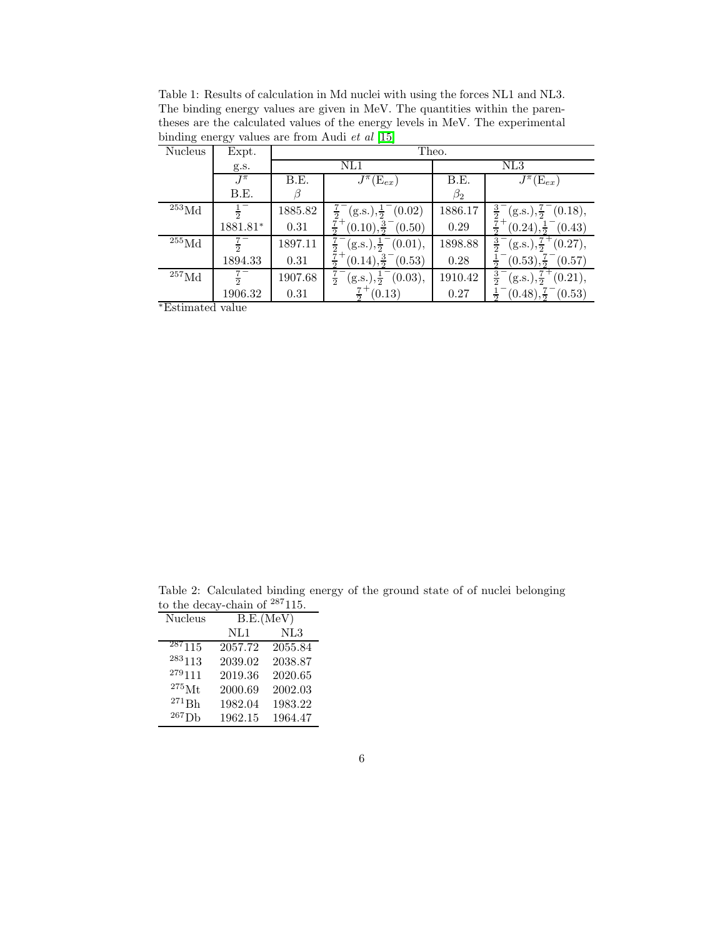<span id="page-5-0"></span>Table 1: Results of calculation in Md nuclei with using the forces NL1 and NL3. The binding energy values are given in MeV. The quantities within the parentheses are the calculated values of the energy levels in MeV. The experimental binding energy values are from Audi *et al* [\[15\]](#page-4-18)

| Nucleus            | Expt.             | Theo.   |                                       |           |                                                                |
|--------------------|-------------------|---------|---------------------------------------|-----------|----------------------------------------------------------------|
|                    | g.s.              | NL1     |                                       | NL3       |                                                                |
|                    | $J^{\pi}$         | B.E.    | $\overline{J^{\pi}}(\mathrm{E}_{ex})$ | B.E.      | $J^{\pi}(\mathbf{E}_{ex})$                                     |
|                    | B.E.              |         |                                       | $\beta_2$ |                                                                |
| $^{253}\rm{Md}$    | $\frac{1}{2}^{-}$ | 1885.82 | $(g.s.), \frac{1}{2}^{-}(0.02)$       | 1886.17   | $\frac{3}{2}$<br>$(g.s.), \frac{7}{2}^{-}(0.18),$              |
|                    | 1881.81*          | 0.31    | $(0.10), \frac{3}{2}^{-}(0.50)$       | 0.29      | $(0.24), \frac{1}{2}^{-}(0.43)$                                |
| $255$ Md           | $rac{7}{2}$       | 1897.11 | $(g.s.), \frac{1}{2}^{-}(0.01),$      | 1898.88   | $(g.s.), \frac{7}{2}^+(0.27),$<br>$rac{3}{2}$                  |
|                    | 1894.33           | 0.31    | $(0.14), \frac{3}{2}^{-}(0.53)$       | 0.28      | $(0.53), \frac{7}{2}$<br>(0.57)                                |
| $^{257}\text{Md}$  | $\frac{7}{2}$     | 1907.68 | $(g.s.), \frac{1}{2}^-(0.03),$        | 1910.42   | $\frac{1}{(g.s.)}$ , $\frac{7}{2}$<br>$\frac{3}{2}$<br>(0.21), |
|                    | 1906.32           | 0.31    | (0.13)                                | 0.27      | $(0.48), \frac{7}{2} (0.53)$                                   |
| $*Fetimatod$ value |                   |         |                                       |           |                                                                |

<sup>∗</sup>Estimated value

<span id="page-5-1"></span>Table 2: Calculated binding energy of the ground state of of nuclei belonging to the decay-chain of  $287115$ .

| Nucleus            | B.E.(MeV) |         |  |
|--------------------|-----------|---------|--|
|                    | NL1       | NL3     |  |
| 287115             | 2057.72   | 2055.84 |  |
| 283113             | 2039.02   | 2038.87 |  |
| $^{279}111$        | 2019.36   | 2020.65 |  |
| $275$ Mt           | 2000.69   | 2002.03 |  |
| ${}^{271}{\rm Bh}$ | 1982.04   | 1983.22 |  |
| ${}^{267}$ Db      | 1962.15   | 1964.47 |  |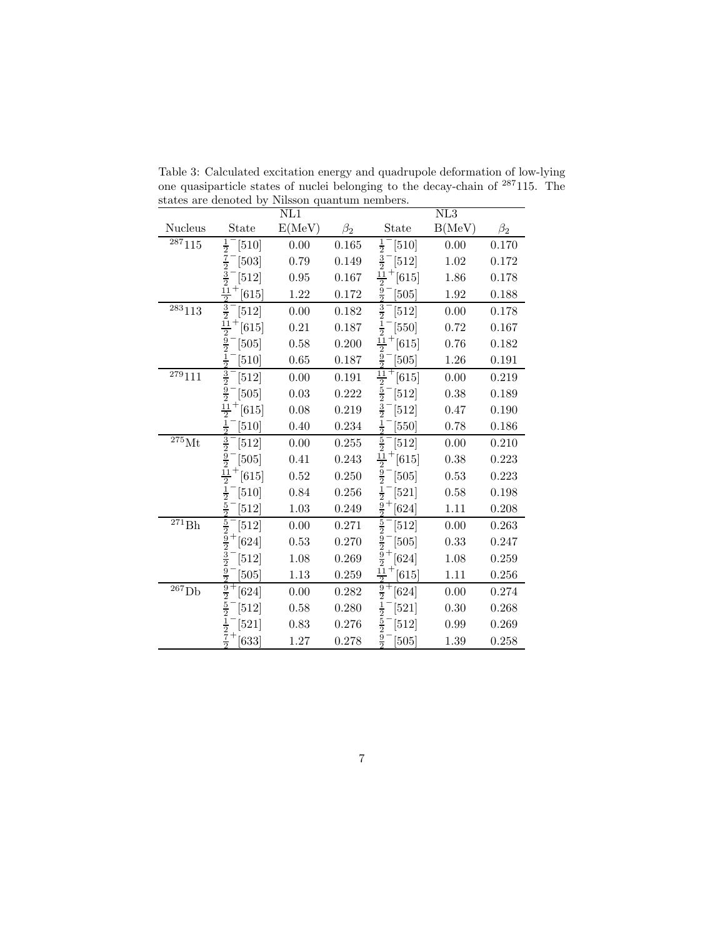| State                    | E(MeV)                                                                                                                                                                                                                                                                                                                                                            | $\beta_2$ | State                    | B(MeV)                                                                                                                                                                                                                                                                                                       | $\beta_2$ |
|--------------------------|-------------------------------------------------------------------------------------------------------------------------------------------------------------------------------------------------------------------------------------------------------------------------------------------------------------------------------------------------------------------|-----------|--------------------------|--------------------------------------------------------------------------------------------------------------------------------------------------------------------------------------------------------------------------------------------------------------------------------------------------------------|-----------|
| $\frac{1}{2}$<br>$[510]$ | 0.00                                                                                                                                                                                                                                                                                                                                                              | 0.165     | $\frac{1}{2}$<br>$[510]$ | 0.00                                                                                                                                                                                                                                                                                                         | 0.170     |
| $[503]$                  | 0.79                                                                                                                                                                                                                                                                                                                                                              | 0.149     | $[512]$                  | 1.02                                                                                                                                                                                                                                                                                                         | 0.172     |
| [512]                    | 0.95                                                                                                                                                                                                                                                                                                                                                              | 0.167     | $[615]$                  | 1.86                                                                                                                                                                                                                                                                                                         | 0.178     |
| [615]                    | 1.22                                                                                                                                                                                                                                                                                                                                                              | 0.172     | $\frac{9}{2}$<br>[505]   | 1.92                                                                                                                                                                                                                                                                                                         | 0.188     |
| $[512]$                  | 0.00                                                                                                                                                                                                                                                                                                                                                              | 0.182     | $[512]$                  | 0.00                                                                                                                                                                                                                                                                                                         | $0.178\,$ |
| $[615]$                  | 0.21                                                                                                                                                                                                                                                                                                                                                              | 0.187     | $\frac{1}{2}$<br>$[550]$ | 0.72                                                                                                                                                                                                                                                                                                         | 0.167     |
| $\frac{9}{2}$<br>$[505]$ | 0.58                                                                                                                                                                                                                                                                                                                                                              | 0.200     | $\frac{11}{2}$<br>[615]  | 0.76                                                                                                                                                                                                                                                                                                         | 0.182     |
| $\frac{1}{2}$<br>[510]   | 0.65                                                                                                                                                                                                                                                                                                                                                              | 0.187     | $\frac{9}{2}$<br>[505]   | 1.26                                                                                                                                                                                                                                                                                                         | 0.191     |
| $[512]$                  | 0.00                                                                                                                                                                                                                                                                                                                                                              | 0.191     | $^{+}$<br>[615]          | 0.00                                                                                                                                                                                                                                                                                                         | 0.219     |
| $[505]$                  | 0.03                                                                                                                                                                                                                                                                                                                                                              | 0.222     | $[512]$                  | 0.38                                                                                                                                                                                                                                                                                                         | 0.189     |
| [615]                    | 0.08                                                                                                                                                                                                                                                                                                                                                              | 0.219     | $[512]$                  | 0.47                                                                                                                                                                                                                                                                                                         | 0.190     |
| $\frac{1}{2}$<br>510     | 0.40                                                                                                                                                                                                                                                                                                                                                              | 0.234     | $\frac{1}{2}$<br>[550]   | 0.78                                                                                                                                                                                                                                                                                                         | 0.186     |
| $[512]$                  | 0.00                                                                                                                                                                                                                                                                                                                                                              | 0.255     | $[512]$                  | 0.00                                                                                                                                                                                                                                                                                                         | 0.210     |
| $[505]$                  | 0.41                                                                                                                                                                                                                                                                                                                                                              | 0.243     | $[615]$                  | 0.38                                                                                                                                                                                                                                                                                                         | 0.223     |
| $[615]$                  | 0.52                                                                                                                                                                                                                                                                                                                                                              | 0.250     | $[505]$                  | 0.53                                                                                                                                                                                                                                                                                                         | 0.223     |
| $[510]$                  | 0.84                                                                                                                                                                                                                                                                                                                                                              | 0.256     | $[521]$                  | 0.58                                                                                                                                                                                                                                                                                                         | 0.198     |
| 512                      | 1.03                                                                                                                                                                                                                                                                                                                                                              | 0.249     | $[624]$                  | 1.11                                                                                                                                                                                                                                                                                                         | 0.208     |
| [512]                    | 0.00                                                                                                                                                                                                                                                                                                                                                              | 0.271     | $[512]$                  | 0.00                                                                                                                                                                                                                                                                                                         | 0.263     |
| $[624]$                  | 0.53                                                                                                                                                                                                                                                                                                                                                              | 0.270     | $[505]$                  | 0.33                                                                                                                                                                                                                                                                                                         | 0.247     |
| $[512]$                  | 1.08                                                                                                                                                                                                                                                                                                                                                              | 0.269     | $[624]$                  | 1.08                                                                                                                                                                                                                                                                                                         | 0.259     |
| 505                      | 1.13                                                                                                                                                                                                                                                                                                                                                              | 0.259     | [615]                    | 1.11                                                                                                                                                                                                                                                                                                         | 0.256     |
| $[624]$                  | 0.00                                                                                                                                                                                                                                                                                                                                                              | 0.282     | $[624]$                  | 0.00                                                                                                                                                                                                                                                                                                         | 0.274     |
| $[512]$                  | 0.58                                                                                                                                                                                                                                                                                                                                                              | 0.280     | $\frac{1}{2}$<br>$[521]$ | 0.30                                                                                                                                                                                                                                                                                                         | 0.268     |
| $[521]$                  | 0.83                                                                                                                                                                                                                                                                                                                                                              | 0.276     | $[512]$                  | 0.99                                                                                                                                                                                                                                                                                                         | 0.269     |
| [633]                    | $1.27\,$                                                                                                                                                                                                                                                                                                                                                          | 0.278     | $\frac{9}{2}$<br>[505]   | 1.39                                                                                                                                                                                                                                                                                                         | 0.258     |
|                          | $\frac{7}{2}$ $\frac{3}{2}$ $\frac{3}{2}$ $\frac{11}{2}$<br>$\frac{3}{2}$<br>$\frac{11}{2}$<br>$\frac{3}{2}$ $\frac{9}{2}$<br>$\frac{11}{2}$<br>$\frac{3}{2}$ $\frac{9}{2}$ $\frac{11}{2}$<br>$\frac{1}{2}$<br>$\frac{5}{2}$<br>$\frac{5}{2}$ $\frac{9}{2}$ $\frac{3}{2}$<br>$\frac{9}{2}$<br>$\frac{9}{2} \frac{1}{2} - \frac{1}{2}$ + $\frac{1}{2} \frac{7}{2}$ |           |                          | NL1<br>$\frac{3}{2}$<br>$\frac{11}{2}$<br>$\frac{3}{2}$<br>$\frac{11}{2}$ $\frac{5}{2}$<br>$\frac{3}{2}$<br>$rac{5}{2}$<br>$\frac{11}{2}$<br>$\frac{5}{2}$<br>$\frac{1}{2}$ - $\frac{9}{2}$ +<br>$\frac{5}{2} - \frac{9}{2} - \frac{9}{2} + \frac{1}{2}$<br>$\frac{11}{2}$<br>$\frac{9}{2}$<br>$\frac{5}{2}$ | NL3       |

<span id="page-6-0"></span>Table 3: Calculated excitation energy and quadrupole deformation of low-lying one quasiparticle states of nuclei belonging to the decay-chain of <sup>287</sup>115. The states are denoted by Nilsson quantum nembers.